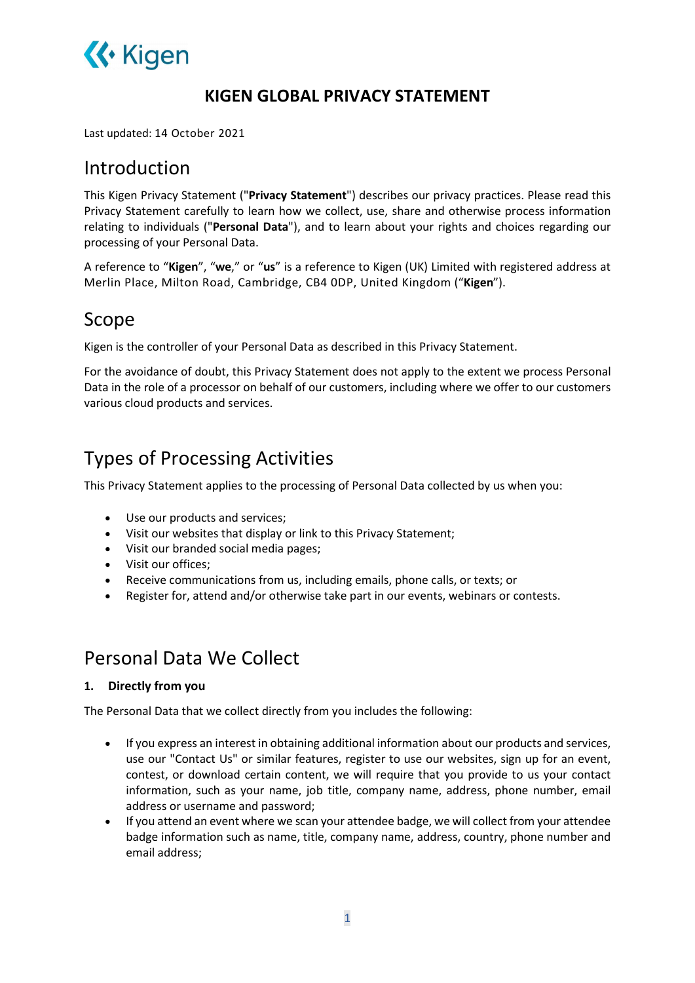

### KIGEN GLOBAL PRIVACY STATEMENT

Last updated: 14 October 2021

### Introduction

This Kigen Privacy Statement ("Privacy Statement") describes our privacy practices. Please read this Privacy Statement carefully to learn how we collect, use, share and otherwise process information relating to individuals ("Personal Data"), and to learn about your rights and choices regarding our processing of your Personal Data.

A reference to "Kigen", "we," or "us" is a reference to Kigen (UK) Limited with registered address at Merlin Place, Milton Road, Cambridge, CB4 0DP, United Kingdom ("Kigen").

### Scope

Kigen is the controller of your Personal Data as described in this Privacy Statement.

For the avoidance of doubt, this Privacy Statement does not apply to the extent we process Personal Data in the role of a processor on behalf of our customers, including where we offer to our customers various cloud products and services.

## Types of Processing Activities

This Privacy Statement applies to the processing of Personal Data collected by us when you:

- Use our products and services;
- Visit our websites that display or link to this Privacy Statement;
- Visit our branded social media pages;
- Visit our offices;
- Receive communications from us, including emails, phone calls, or texts; or
- Register for, attend and/or otherwise take part in our events, webinars or contests.

### Personal Data We Collect

#### 1. Directly from you

The Personal Data that we collect directly from you includes the following:

- If you express an interest in obtaining additional information about our products and services, use our "Contact Us" or similar features, register to use our websites, sign up for an event, contest, or download certain content, we will require that you provide to us your contact information, such as your name, job title, company name, address, phone number, email address or username and password;
- If you attend an event where we scan your attendee badge, we will collect from your attendee badge information such as name, title, company name, address, country, phone number and email address;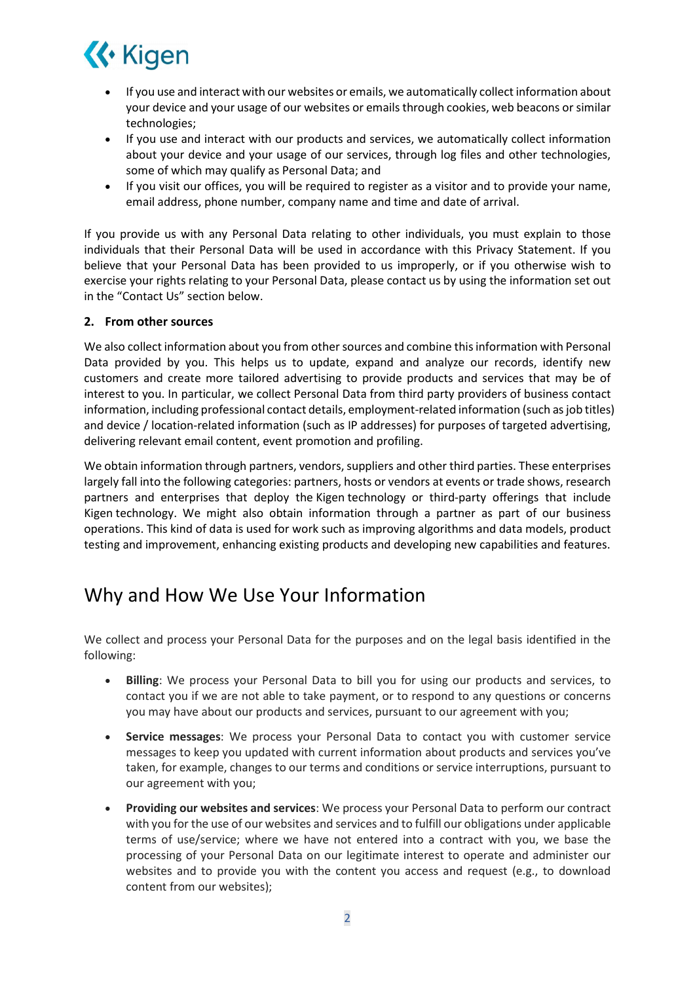

- If you use and interact with our websites or emails, we automatically collect information about your device and your usage of our websites or emails through cookies, web beacons or similar technologies;
- If you use and interact with our products and services, we automatically collect information about your device and your usage of our services, through log files and other technologies, some of which may qualify as Personal Data; and
- If you visit our offices, you will be required to register as a visitor and to provide your name, email address, phone number, company name and time and date of arrival.

If you provide us with any Personal Data relating to other individuals, you must explain to those individuals that their Personal Data will be used in accordance with this Privacy Statement. If you believe that your Personal Data has been provided to us improperly, or if you otherwise wish to exercise your rights relating to your Personal Data, please contact us by using the information set out in the "Contact Us" section below.

#### 2. From other sources

We also collect information about you from other sources and combine this information with Personal Data provided by you. This helps us to update, expand and analyze our records, identify new customers and create more tailored advertising to provide products and services that may be of interest to you. In particular, we collect Personal Data from third party providers of business contact information, including professional contact details, employment-related information (such as job titles) and device / location-related information (such as IP addresses) for purposes of targeted advertising, delivering relevant email content, event promotion and profiling.

We obtain information through partners, vendors, suppliers and other third parties. These enterprises largely fall into the following categories: partners, hosts or vendors at events or trade shows, research partners and enterprises that deploy the Kigen technology or third-party offerings that include Kigen technology. We might also obtain information through a partner as part of our business operations. This kind of data is used for work such as improving algorithms and data models, product testing and improvement, enhancing existing products and developing new capabilities and features.

## Why and How We Use Your Information

We collect and process your Personal Data for the purposes and on the legal basis identified in the following:

- Billing: We process your Personal Data to bill you for using our products and services, to contact you if we are not able to take payment, or to respond to any questions or concerns you may have about our products and services, pursuant to our agreement with you;
- Service messages: We process your Personal Data to contact you with customer service messages to keep you updated with current information about products and services you've taken, for example, changes to our terms and conditions or service interruptions, pursuant to our agreement with you;
- Providing our websites and services: We process your Personal Data to perform our contract with you for the use of our websites and services and to fulfill our obligations under applicable terms of use/service; where we have not entered into a contract with you, we base the processing of your Personal Data on our legitimate interest to operate and administer our websites and to provide you with the content you access and request (e.g., to download content from our websites);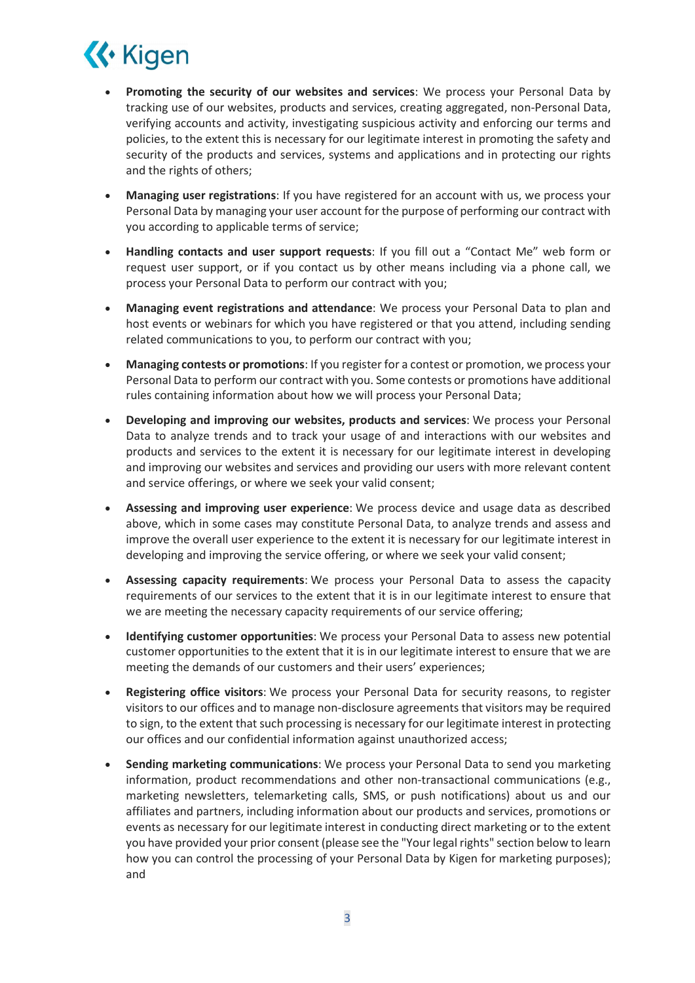

- Promoting the security of our websites and services: We process your Personal Data by tracking use of our websites, products and services, creating aggregated, non-Personal Data, verifying accounts and activity, investigating suspicious activity and enforcing our terms and policies, to the extent this is necessary for our legitimate interest in promoting the safety and security of the products and services, systems and applications and in protecting our rights and the rights of others;
- Managing user registrations: If you have registered for an account with us, we process your Personal Data by managing your user account for the purpose of performing our contract with you according to applicable terms of service;
- Handling contacts and user support requests: If you fill out a "Contact Me" web form or request user support, or if you contact us by other means including via a phone call, we process your Personal Data to perform our contract with you;
- Managing event registrations and attendance: We process your Personal Data to plan and host events or webinars for which you have registered or that you attend, including sending related communications to you, to perform our contract with you;
- Managing contests or promotions: If you register for a contest or promotion, we process your Personal Data to perform our contract with you. Some contests or promotions have additional rules containing information about how we will process your Personal Data;
- Developing and improving our websites, products and services: We process your Personal Data to analyze trends and to track your usage of and interactions with our websites and products and services to the extent it is necessary for our legitimate interest in developing and improving our websites and services and providing our users with more relevant content and service offerings, or where we seek your valid consent;
- Assessing and improving user experience: We process device and usage data as described above, which in some cases may constitute Personal Data, to analyze trends and assess and improve the overall user experience to the extent it is necessary for our legitimate interest in developing and improving the service offering, or where we seek your valid consent;
- Assessing capacity requirements: We process your Personal Data to assess the capacity requirements of our services to the extent that it is in our legitimate interest to ensure that we are meeting the necessary capacity requirements of our service offering;
- Identifying customer opportunities: We process your Personal Data to assess new potential customer opportunities to the extent that it is in our legitimate interest to ensure that we are meeting the demands of our customers and their users' experiences;
- Registering office visitors: We process your Personal Data for security reasons, to register visitors to our offices and to manage non-disclosure agreements that visitors may be required to sign, to the extent that such processing is necessary for our legitimate interest in protecting our offices and our confidential information against unauthorized access;
- Sending marketing communications: We process your Personal Data to send you marketing information, product recommendations and other non-transactional communications (e.g., marketing newsletters, telemarketing calls, SMS, or push notifications) about us and our affiliates and partners, including information about our products and services, promotions or events as necessary for our legitimate interest in conducting direct marketing or to the extent you have provided your prior consent (please see the "Your legal rights" section below to learn how you can control the processing of your Personal Data by Kigen for marketing purposes); and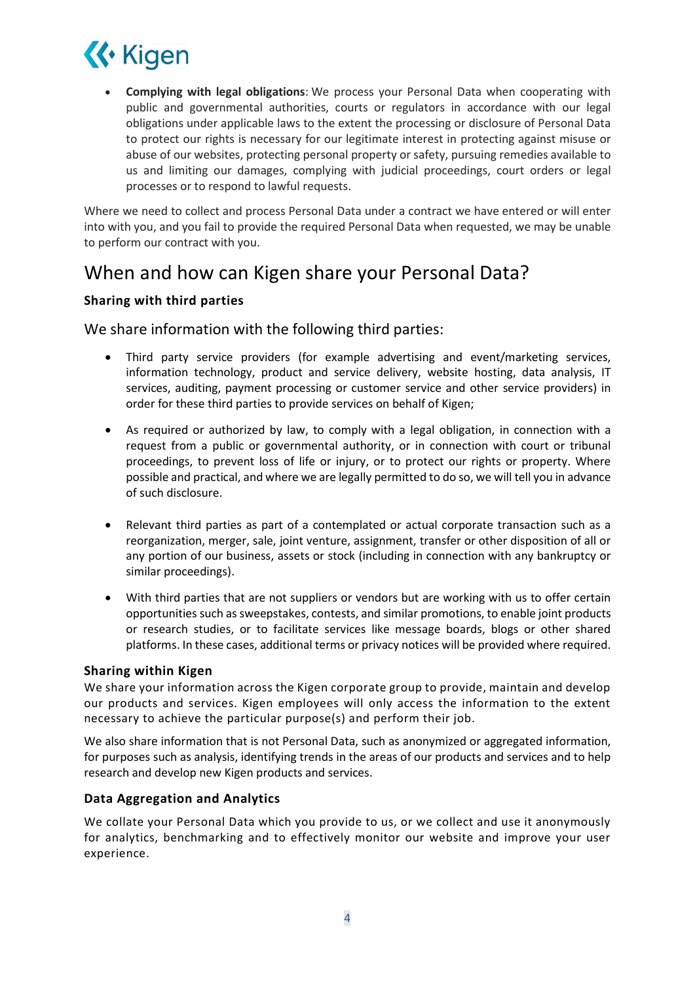

 Complying with legal obligations: We process your Personal Data when cooperating with public and governmental authorities, courts or regulators in accordance with our legal obligations under applicable laws to the extent the processing or disclosure of Personal Data to protect our rights is necessary for our legitimate interest in protecting against misuse or abuse of our websites, protecting personal property or safety, pursuing remedies available to us and limiting our damages, complying with judicial proceedings, court orders or legal processes or to respond to lawful requests.

Where we need to collect and process Personal Data under a contract we have entered or will enter into with you, and you fail to provide the required Personal Data when requested, we may be unable to perform our contract with you.

## When and how can Kigen share your Personal Data?

#### Sharing with third parties

We share information with the following third parties:

- Third party service providers (for example advertising and event/marketing services, information technology, product and service delivery, website hosting, data analysis, IT services, auditing, payment processing or customer service and other service providers) in order for these third parties to provide services on behalf of Kigen;
- As required or authorized by law, to comply with a legal obligation, in connection with a request from a public or governmental authority, or in connection with court or tribunal proceedings, to prevent loss of life or injury, or to protect our rights or property. Where possible and practical, and where we are legally permitted to do so, we will tell you in advance of such disclosure.
- Relevant third parties as part of a contemplated or actual corporate transaction such as a reorganization, merger, sale, joint venture, assignment, transfer or other disposition of all or any portion of our business, assets or stock (including in connection with any bankruptcy or similar proceedings).
- With third parties that are not suppliers or vendors but are working with us to offer certain opportunities such as sweepstakes, contests, and similar promotions, to enable joint products or research studies, or to facilitate services like message boards, blogs or other shared platforms. In these cases, additional terms or privacy notices will be provided where required.

#### Sharing within Kigen

We share your information across the Kigen corporate group to provide, maintain and develop our products and services. Kigen employees will only access the information to the extent necessary to achieve the particular purpose(s) and perform their job.

We also share information that is not Personal Data, such as anonymized or aggregated information, for purposes such as analysis, identifying trends in the areas of our products and services and to help research and develop new Kigen products and services.

#### Data Aggregation and Analytics

We collate your Personal Data which you provide to us, or we collect and use it anonymously for analytics, benchmarking and to effectively monitor our website and improve your user experience.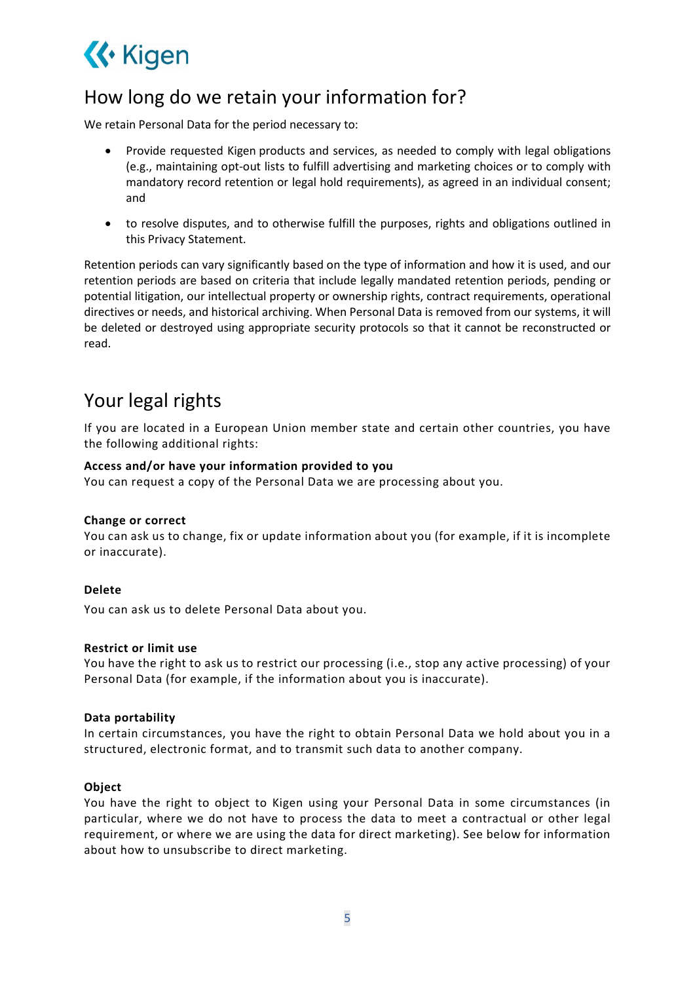

# How long do we retain your information for?

We retain Personal Data for the period necessary to:

- Provide requested Kigen products and services, as needed to comply with legal obligations (e.g., maintaining opt-out lists to fulfill advertising and marketing choices or to comply with mandatory record retention or legal hold requirements), as agreed in an individual consent; and
- to resolve disputes, and to otherwise fulfill the purposes, rights and obligations outlined in this Privacy Statement.

Retention periods can vary significantly based on the type of information and how it is used, and our retention periods are based on criteria that include legally mandated retention periods, pending or potential litigation, our intellectual property or ownership rights, contract requirements, operational directives or needs, and historical archiving. When Personal Data is removed from our systems, it will be deleted or destroyed using appropriate security protocols so that it cannot be reconstructed or read.

### Your legal rights

If you are located in a European Union member state and certain other countries, you have the following additional rights:

#### Access and/or have your information provided to you

You can request a copy of the Personal Data we are processing about you.

#### Change or correct

You can ask us to change, fix or update information about you (for example, if it is incomplete or inaccurate).

#### Delete

You can ask us to delete Personal Data about you.

#### Restrict or limit use

You have the right to ask us to restrict our processing (i.e., stop any active processing) of your Personal Data (for example, if the information about you is inaccurate).

#### Data portability

In certain circumstances, you have the right to obtain Personal Data we hold about you in a structured, electronic format, and to transmit such data to another company.

#### Object

You have the right to object to Kigen using your Personal Data in some circumstances (in particular, where we do not have to process the data to meet a contractual or other legal requirement, or where we are using the data for direct marketing). See below for information about how to unsubscribe to direct marketing.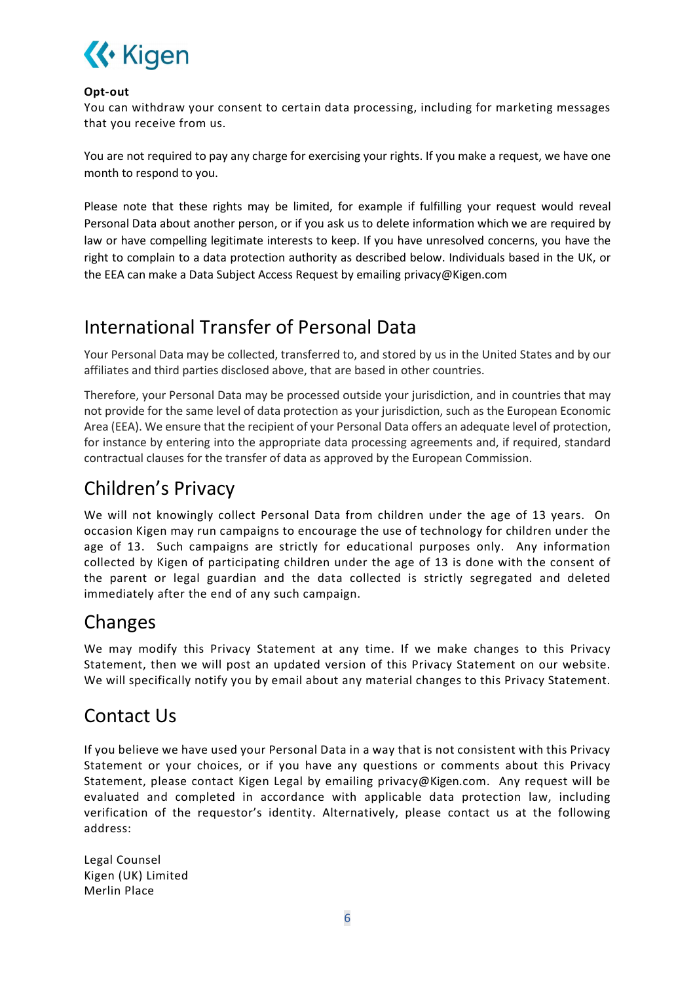

#### Opt-out

You can withdraw your consent to certain data processing, including for marketing messages that you receive from us.

You are not required to pay any charge for exercising your rights. If you make a request, we have one month to respond to you.

Please note that these rights may be limited, for example if fulfilling your request would reveal Personal Data about another person, or if you ask us to delete information which we are required by law or have compelling legitimate interests to keep. If you have unresolved concerns, you have the right to complain to a data protection authority as described below. Individuals based in the UK, or the EEA can make a Data Subject Access Request by emailing privacy@Kigen.com

### International Transfer of Personal Data

Your Personal Data may be collected, transferred to, and stored by us in the United States and by our affiliates and third parties disclosed above, that are based in other countries.

Therefore, your Personal Data may be processed outside your jurisdiction, and in countries that may not provide for the same level of data protection as your jurisdiction, such as the European Economic Area (EEA). We ensure that the recipient of your Personal Data offers an adequate level of protection, for instance by entering into the appropriate data processing agreements and, if required, standard contractual clauses for the transfer of data as approved by the European Commission.

## Children's Privacy

We will not knowingly collect Personal Data from children under the age of 13 years. On occasion Kigen may run campaigns to encourage the use of technology for children under the age of 13. Such campaigns are strictly for educational purposes only. Any information collected by Kigen of participating children under the age of 13 is done with the consent of the parent or legal guardian and the data collected is strictly segregated and deleted immediately after the end of any such campaign.

## Changes

We may modify this Privacy Statement at any time. If we make changes to this Privacy Statement, then we will post an updated version of this Privacy Statement on our website. We will specifically notify you by email about any material changes to this Privacy Statement.

### Contact Us

If you believe we have used your Personal Data in a way that is not consistent with this Privacy Statement or your choices, or if you have any questions or comments about this Privacy Statement, please contact Kigen Legal by emailing privacy@Kigen.com. Any request will be evaluated and completed in accordance with applicable data protection law, including verification of the requestor's identity. Alternatively, please contact us at the following address:

Legal Counsel Kigen (UK) Limited Merlin Place